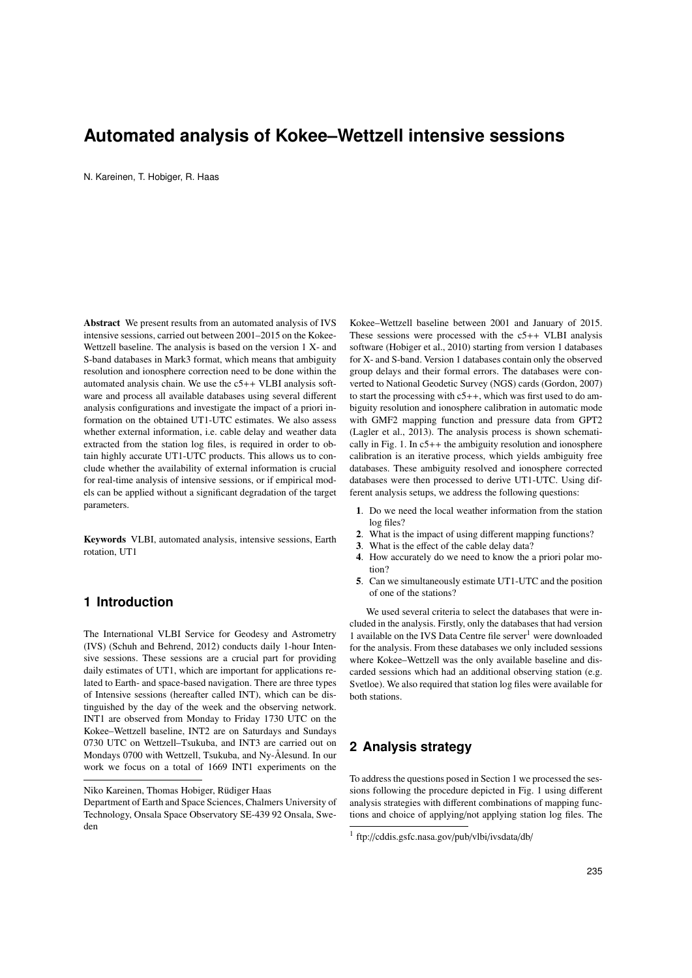# **Automated analysis of Kokee–Wettzell intensive sessions**

N. Kareinen, T. Hobiger, R. Haas

Abstract We present results from an automated analysis of IVS intensive sessions, carried out between 2001–2015 on the Kokee-Wettzell baseline. The analysis is based on the version 1 X- and S-band databases in Mark3 format, which means that ambiguity resolution and ionosphere correction need to be done within the automated analysis chain. We use the c5++ VLBI analysis software and process all available databases using several different analysis configurations and investigate the impact of a priori information on the obtained UT1-UTC estimates. We also assess whether external information, i.e. cable delay and weather data extracted from the station log files, is required in order to obtain highly accurate UT1-UTC products. This allows us to conclude whether the availability of external information is crucial for real-time analysis of intensive sessions, or if empirical models can be applied without a significant degradation of the target parameters.

Keywords VLBI, automated analysis, intensive sessions, Earth rotation, UT1

# **1 Introduction**

The International VLBI Service for Geodesy and Astrometry (IVS) (Schuh and Behrend, 2012) conducts daily 1-hour Intensive sessions. These sessions are a crucial part for providing daily estimates of UT1, which are important for applications related to Earth- and space-based navigation. There are three types of Intensive sessions (hereafter called INT), which can be distinguished by the day of the week and the observing network. INT1 are observed from Monday to Friday 1730 UTC on the Kokee–Wettzell baseline, INT2 are on Saturdays and Sundays 0730 UTC on Wettzell–Tsukuba, and INT3 are carried out on Mondays 0700 with Wettzell, Tsukuba, and Ny-Ålesund. In our work we focus on a total of 1669 INT1 experiments on the

Kokee–Wettzell baseline between 2001 and January of 2015. These sessions were processed with the c5++ VLBI analysis software (Hobiger et al., 2010) starting from version 1 databases for X- and S-band. Version 1 databases contain only the observed group delays and their formal errors. The databases were converted to National Geodetic Survey (NGS) cards (Gordon, 2007) to start the processing with  $c5++$ , which was first used to do ambiguity resolution and ionosphere calibration in automatic mode with GMF2 mapping function and pressure data from GPT2 (Lagler et al., 2013). The analysis process is shown schematically in Fig. 1. In  $c5++$  the ambiguity resolution and ionosphere calibration is an iterative process, which yields ambiguity free databases. These ambiguity resolved and ionosphere corrected databases were then processed to derive UT1-UTC. Using different analysis setups, we address the following questions:

- 1. Do we need the local weather information from the station log files?
- 2. What is the impact of using different mapping functions?
- 3. What is the effect of the cable delay data?
- 4. How accurately do we need to know the a priori polar motion?
- 5. Can we simultaneously estimate UT1-UTC and the position of one of the stations?

We used several criteria to select the databases that were included in the analysis. Firstly, only the databases that had version 1 available on the IVS Data Centre file server<sup>1</sup> were downloaded for the analysis. From these databases we only included sessions where Kokee–Wettzell was the only available baseline and discarded sessions which had an additional observing station (e.g. Svetloe). We also required that station log files were available for both stations.

# **2 Analysis strategy**

To address the questions posed in Section 1 we processed the sessions following the procedure depicted in Fig. 1 using different analysis strategies with different combinations of mapping functions and choice of applying/not applying station log files. The

Niko Kareinen, Thomas Hobiger, Rudiger Haas ¨

Department of Earth and Space Sciences, Chalmers University of Technology, Onsala Space Observatory SE-439 92 Onsala, Sweden

<sup>1</sup> ftp://cddis.gsfc.nasa.gov/pub/vlbi/ivsdata/db/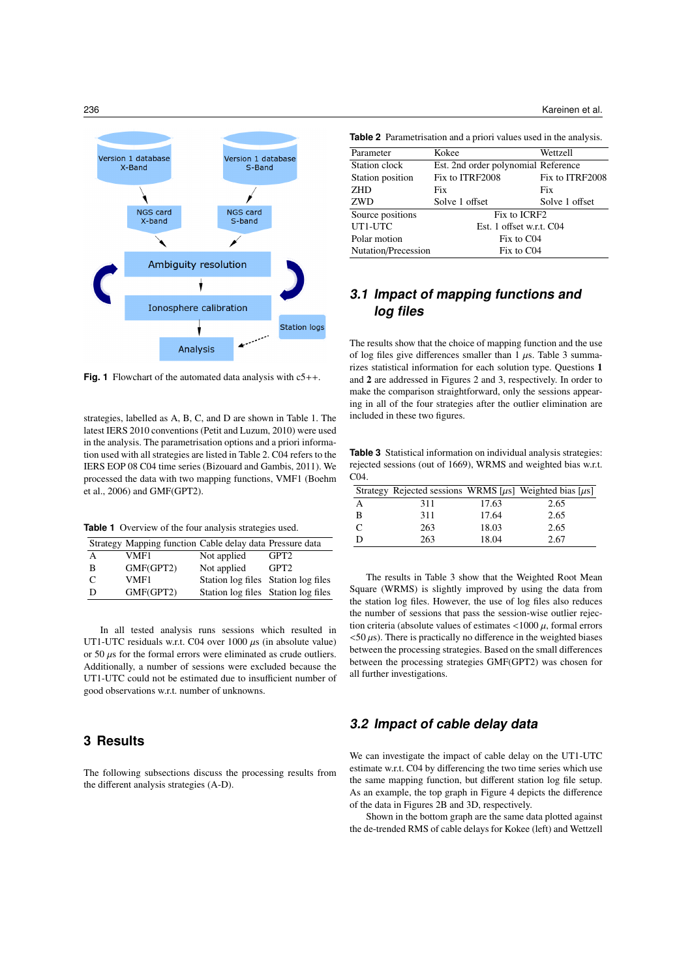

**Fig. 1** Flowchart of the automated data analysis with c5++.

strategies, labelled as A, B, C, and D are shown in Table 1. The latest IERS 2010 conventions (Petit and Luzum, 2010) were used in the analysis. The parametrisation options and a priori information used with all strategies are listed in Table 2. C04 refers to the IERS EOP 08 C04 time series (Bizouard and Gambis, 2011). We processed the data with two mapping functions, VMF1 (Boehm et al., 2006) and GMF(GPT2).

**Table 1** Overview of the four analysis strategies used.

|   | Strategy Mapping function Cable delay data Pressure data |                                     |                  |
|---|----------------------------------------------------------|-------------------------------------|------------------|
| А | VMF1                                                     | Not applied                         | GPT <sub>2</sub> |
| в | GMF(GPT2)                                                | Not applied                         | GPT <sub>2</sub> |
|   | VMF1                                                     | Station log files Station log files |                  |
| D | GMF(GPT2)                                                | Station log files Station log files |                  |

In all tested analysis runs sessions which resulted in UT1-UTC residuals w.r.t. C04 over 1000  $\mu$ s (in absolute value) or 50  $\mu$ s for the formal errors were eliminated as crude outliers. Additionally, a number of sessions were excluded because the UT1-UTC could not be estimated due to insufficient number of good observations w.r.t. number of unknowns.

#### **3 Results**

The following subsections discuss the processing results from the different analysis strategies (A-D).

236 Kareinen et al.

| <b>Table 2</b> Parametrisation and a priori values used in the analysis. |  |  |  |  |  |  |  |  |
|--------------------------------------------------------------------------|--|--|--|--|--|--|--|--|
|--------------------------------------------------------------------------|--|--|--|--|--|--|--|--|

| Kokee                               | Wettzell        |
|-------------------------------------|-----------------|
| Est. 2nd order polynomial Reference |                 |
| Fix to ITRF2008                     | Fix to ITRF2008 |
| Fix                                 | Fix             |
| Solve 1 offset                      | Solve 1 offset  |
| Fix to ICRF2                        |                 |
| Est. 1 offset w.r.t. C04            |                 |
| Fix to C <sub>04</sub>              |                 |
| Fix to C04                          |                 |
|                                     |                 |

# **3.1 Impact of mapping functions and log files**

The results show that the choice of mapping function and the use of log files give differences smaller than  $1 \mu s$ . Table 3 summarizes statistical information for each solution type. Questions 1 and 2 are addressed in Figures 2 and 3, respectively. In order to make the comparison straightforward, only the sessions appearing in all of the four strategies after the outlier elimination are included in these two figures.

**Table 3** Statistical information on individual analysis strategies: rejected sessions (out of 1669), WRMS and weighted bias w.r.t. C04.

|   |     |       | Strategy Rejected sessions WRMS [ $\mu$ s] Weighted bias [ $\mu$ s] |
|---|-----|-------|---------------------------------------------------------------------|
|   | 311 | 17.63 | 2.65                                                                |
| B | 311 | 17.64 | 2.65                                                                |
|   | 263 | 18.03 | 2.65                                                                |
|   | 263 | 18.04 | 2.67                                                                |

The results in Table 3 show that the Weighted Root Mean Square (WRMS) is slightly improved by using the data from the station log files. However, the use of log files also reduces the number of sessions that pass the session-wise outlier rejection criteria (absolute values of estimates  $\langle 1000 \mu, \text{formal errors} \rangle$  $<$  50  $\mu$ s). There is practically no difference in the weighted biases between the processing strategies. Based on the small differences between the processing strategies GMF(GPT2) was chosen for all further investigations.

#### **3.2 Impact of cable delay data**

We can investigate the impact of cable delay on the UT1-UTC estimate w.r.t. C04 by differencing the two time series which use the same mapping function, but different station log file setup. As an example, the top graph in Figure 4 depicts the difference of the data in Figures 2B and 3D, respectively.

Shown in the bottom graph are the same data plotted against the de-trended RMS of cable delays for Kokee (left) and Wettzell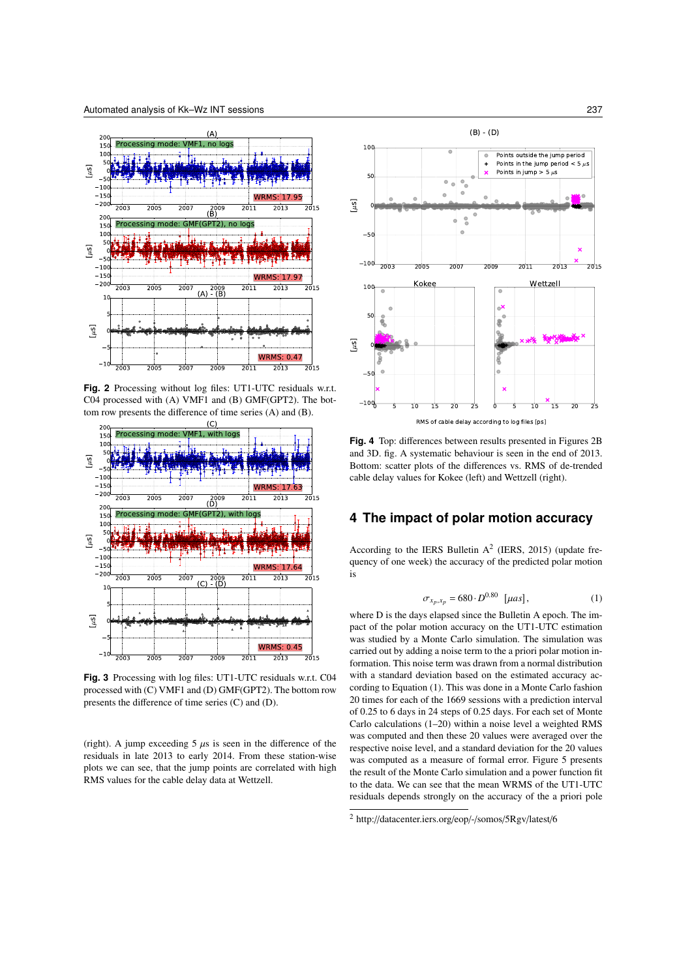

**Fig. 2** Processing without log files: UT1-UTC residuals w.r.t. C04 processed with (A) VMF1 and (B) GMF(GPT2). The bottom row presents the difference of time series (A) and (B).



**Fig. 3** Processing with log files: UT1-UTC residuals w.r.t. C04 processed with (C) VMF1 and (D) GMF(GPT2). The bottom row presents the difference of time series (C) and (D).

(right). A jump exceeding  $5 \mu s$  is seen in the difference of the residuals in late 2013 to early 2014. From these station-wise plots we can see, that the jump points are correlated with high RMS values for the cable delay data at Wettzell.



**Fig. 4** Top: differences between results presented in Figures 2B and 3D. fig. A systematic behaviour is seen in the end of 2013. Bottom: scatter plots of the differences vs. RMS of de-trended cable delay values for Kokee (left) and Wettzell (right).

### **4 The impact of polar motion accuracy**

According to the IERS Bulletin  $A^2$  (IERS, 2015) (update frequency of one week) the accuracy of the predicted polar motion is

$$
\sigma_{x_p, x_p} = 680 \cdot D^{0.80} \quad [\mu as], \tag{1}
$$

where D is the days elapsed since the Bulletin A epoch. The impact of the polar motion accuracy on the UT1-UTC estimation was studied by a Monte Carlo simulation. The simulation was carried out by adding a noise term to the a priori polar motion information. This noise term was drawn from a normal distribution with a standard deviation based on the estimated accuracy according to Equation (1). This was done in a Monte Carlo fashion 20 times for each of the 1669 sessions with a prediction interval of 0.25 to 6 days in 24 steps of 0.25 days. For each set of Monte Carlo calculations (1–20) within a noise level a weighted RMS was computed and then these 20 values were averaged over the respective noise level, and a standard deviation for the 20 values was computed as a measure of formal error. Figure 5 presents the result of the Monte Carlo simulation and a power function fit to the data. We can see that the mean WRMS of the UT1-UTC residuals depends strongly on the accuracy of the a priori pole

<sup>2</sup> http://datacenter.iers.org/eop/-/somos/5Rgv/latest/6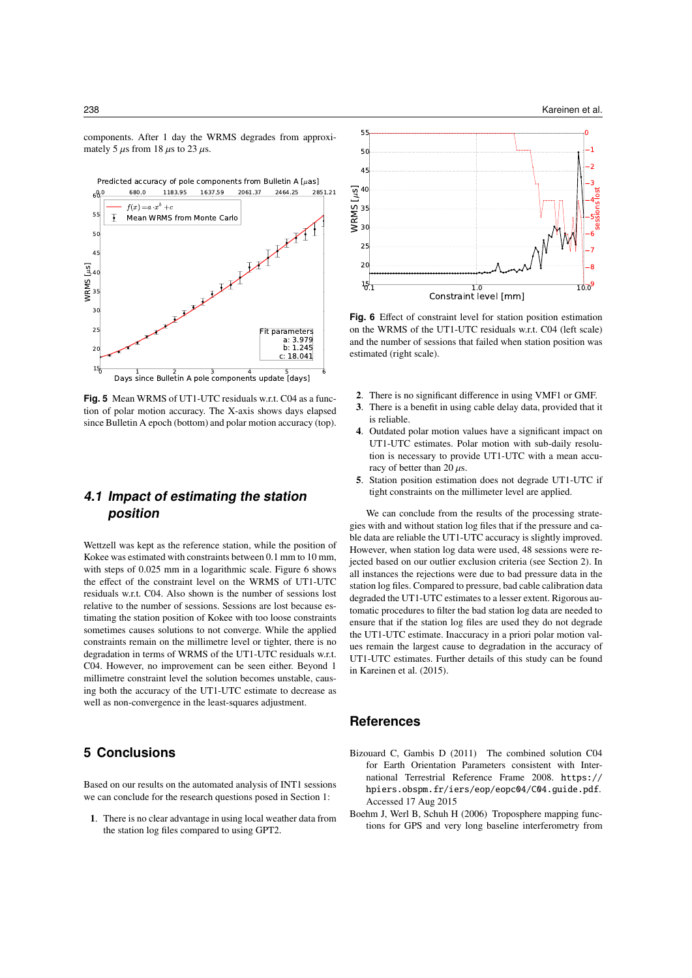$\frac{1}{2}$   $\frac{2}{3}$   $\frac{3}{4}$   $\frac{5}{1}$   $\frac{6}{1}$  Days since Bulletin A pole components update [days] 15 —  $20$   $\leq$ 25 30 35 40 45 50 55 68. WRMS  $\begin{bmatrix} \mu s \\ \mu s \end{bmatrix}$ **paramete** a: 3.97  $h: 1.24$  c: 18.041  $f(x) = a \cdot x^b + c$ Mean WRMS from Monte Carlo<br>
- T 2 0.0 680.0 1183.95 1637.59 2061.37 2464.25 2851.21 Predicted accuracy of pole components from Bulletin A [ $\mu$ as]

**Fig. 5** Mean WRMS of UT1-UTC residuals w.r.t. C04 as a function of polar motion accuracy. The X-axis shows days elapsed since Bulletin A epoch (bottom) and polar motion accuracy (top).

# **4.1 Impact of estimating the station position**

Wettzell was kept as the reference station, while the position of Kokee was estimated with constraints between 0.1 mm to 10 mm, with steps of 0.025 mm in a logarithmic scale. Figure 6 shows the effect of the constraint level on the WRMS of UT1-UTC residuals w.r.t. C04. Also shown is the number of sessions lost relative to the number of sessions. Sessions are lost because estimating the station position of Kokee with too loose constraints sometimes causes solutions to not converge. While the applied constraints remain on the millimetre level or tighter, there is no degradation in terms of WRMS of the UT1-UTC residuals w.r.t. C04. However, no improvement can be seen either. Beyond 1 millimetre constraint level the solution becomes unstable, causing both the accuracy of the UT1-UTC estimate to decrease as well as non-convergence in the least-squares adjustment.

## **5 Conclusions**

Based on our results on the automated analysis of INT1 sessions we can conclude for the research questions posed in Section 1:

1. There is no clear advantage in using local weather data from the station log files compared to using GPT2.



**Fig. 6** Effect of constraint level for station position estimation on the WRMS of the UT1-UTC residuals w.r.t. C04 (left scale) and the number of sessions that failed when station position was estimated (right scale).

- 2. There is no significant difference in using VMF1 or GMF.
- 3. There is a benefit in using cable delay data, provided that it is reliable.
- 4. Outdated polar motion values have a significant impact on UT1-UTC estimates. Polar motion with sub-daily resolution is necessary to provide UT1-UTC with a mean accuracy of better than 20  $\mu$ s.
- 5. Station position estimation does not degrade UT1-UTC if tight constraints on the millimeter level are applied.

We can conclude from the results of the processing strategies with and without station log files that if the pressure and cable data are reliable the UT1-UTC accuracy is slightly improved. However, when station log data were used, 48 sessions were rejected based on our outlier exclusion criteria (see Section 2). In all instances the rejections were due to bad pressure data in the station log files. Compared to pressure, bad cable calibration data degraded the UT1-UTC estimates to a lesser extent. Rigorous automatic procedures to filter the bad station log data are needed to ensure that if the station log files are used they do not degrade the UT1-UTC estimate. Inaccuracy in a priori polar motion values remain the largest cause to degradation in the accuracy of UT1-UTC estimates. Further details of this study can be found in Kareinen et al. (2015).

#### **References**

- Bizouard C, Gambis D (2011) The combined solution C04 for Earth Orientation Parameters consistent with International Terrestrial Reference Frame 2008. https:// hpiers.obspm.fr/iers/eop/eopc04/C04.guide.pdf. Accessed 17 Aug 2015
- Boehm J, Werl B, Schuh H (2006) Troposphere mapping functions for GPS and very long baseline interferometry from

components. After 1 day the WRMS degrades from approximately 5  $\mu$ s from 18  $\mu$ s to 23  $\mu$ s.